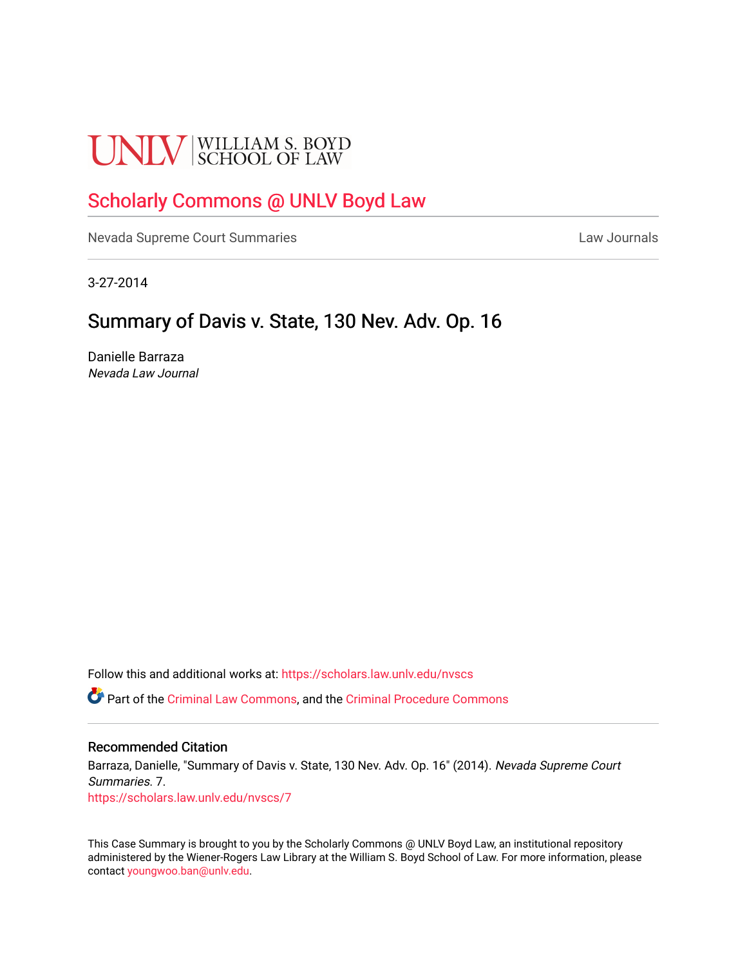# **UNLV** SCHOOL OF LAW

# [Scholarly Commons @ UNLV Boyd Law](https://scholars.law.unlv.edu/)

[Nevada Supreme Court Summaries](https://scholars.law.unlv.edu/nvscs) **Law Journals** Law Journals

3-27-2014

## Summary of Davis v. State, 130 Nev. Adv. Op. 16

Danielle Barraza Nevada Law Journal

Follow this and additional works at: [https://scholars.law.unlv.edu/nvscs](https://scholars.law.unlv.edu/nvscs?utm_source=scholars.law.unlv.edu%2Fnvscs%2F7&utm_medium=PDF&utm_campaign=PDFCoverPages)

Part of the [Criminal Law Commons,](http://network.bepress.com/hgg/discipline/912?utm_source=scholars.law.unlv.edu%2Fnvscs%2F7&utm_medium=PDF&utm_campaign=PDFCoverPages) and the [Criminal Procedure Commons](http://network.bepress.com/hgg/discipline/1073?utm_source=scholars.law.unlv.edu%2Fnvscs%2F7&utm_medium=PDF&utm_campaign=PDFCoverPages)

#### Recommended Citation

Barraza, Danielle, "Summary of Davis v. State, 130 Nev. Adv. Op. 16" (2014). Nevada Supreme Court Summaries. 7. [https://scholars.law.unlv.edu/nvscs/7](https://scholars.law.unlv.edu/nvscs/7?utm_source=scholars.law.unlv.edu%2Fnvscs%2F7&utm_medium=PDF&utm_campaign=PDFCoverPages) 

This Case Summary is brought to you by the Scholarly Commons @ UNLV Boyd Law, an institutional repository administered by the Wiener-Rogers Law Library at the William S. Boyd School of Law. For more information, please contact [youngwoo.ban@unlv.edu](mailto:youngwoo.ban@unlv.edu).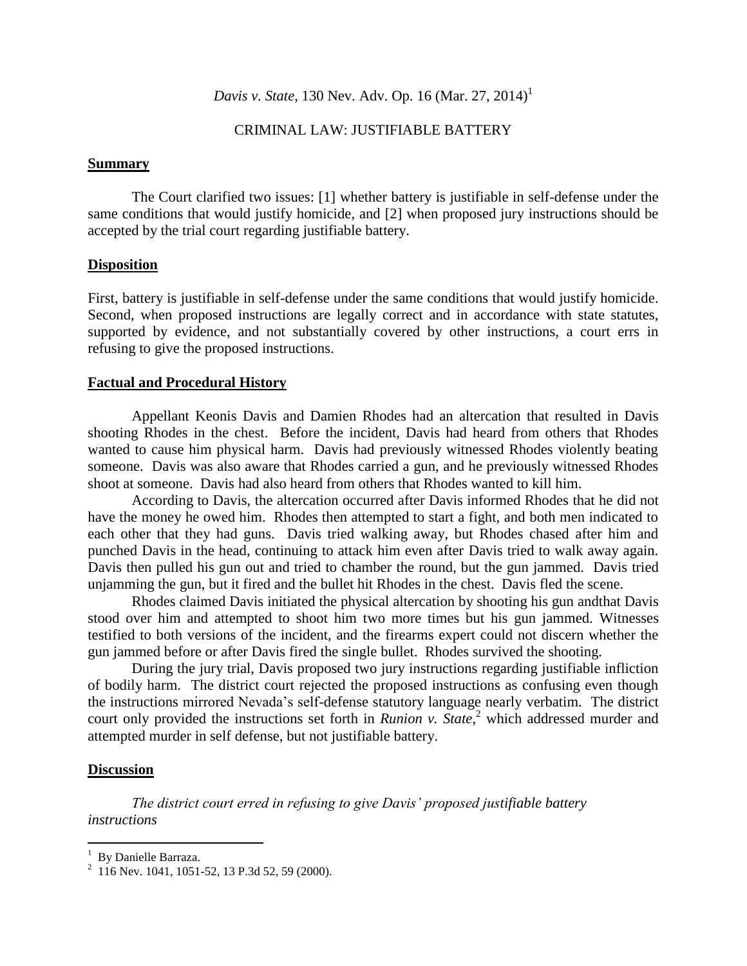## *Davis v. State*, 130 Nev. Adv. Op. 16 (Mar. 27, 2014) 1

### CRIMINAL LAW: JUSTIFIABLE BATTERY

#### **Summary**

The Court clarified two issues: [1] whether battery is justifiable in self-defense under the same conditions that would justify homicide, and [2] when proposed jury instructions should be accepted by the trial court regarding justifiable battery.

#### **Disposition**

First, battery is justifiable in self-defense under the same conditions that would justify homicide. Second, when proposed instructions are legally correct and in accordance with state statutes, supported by evidence, and not substantially covered by other instructions, a court errs in refusing to give the proposed instructions.

#### **Factual and Procedural History**

Appellant Keonis Davis and Damien Rhodes had an altercation that resulted in Davis shooting Rhodes in the chest. Before the incident, Davis had heard from others that Rhodes wanted to cause him physical harm. Davis had previously witnessed Rhodes violently beating someone. Davis was also aware that Rhodes carried a gun, and he previously witnessed Rhodes shoot at someone. Davis had also heard from others that Rhodes wanted to kill him.

According to Davis, the altercation occurred after Davis informed Rhodes that he did not have the money he owed him. Rhodes then attempted to start a fight, and both men indicated to each other that they had guns. Davis tried walking away, but Rhodes chased after him and punched Davis in the head, continuing to attack him even after Davis tried to walk away again. Davis then pulled his gun out and tried to chamber the round, but the gun jammed. Davis tried unjamming the gun, but it fired and the bullet hit Rhodes in the chest. Davis fled the scene.

Rhodes claimed Davis initiated the physical altercation by shooting his gun andthat Davis stood over him and attempted to shoot him two more times but his gun jammed. Witnesses testified to both versions of the incident, and the firearms expert could not discern whether the gun jammed before or after Davis fired the single bullet. Rhodes survived the shooting.

During the jury trial, Davis proposed two jury instructions regarding justifiable infliction of bodily harm. The district court rejected the proposed instructions as confusing even though the instructions mirrored Nevada's self-defense statutory language nearly verbatim. The district court only provided the instructions set forth in *Runion v. State*, <sup>2</sup> which addressed murder and attempted murder in self defense, but not justifiable battery.

#### **Discussion**

 $\overline{a}$ 

*The district court erred in refusing to give Davis' proposed justifiable battery instructions*

<sup>&</sup>lt;sup>1</sup> By Danielle Barraza.

 $^{2}$  116 Nev. 1041, 1051-52, 13 P.3d 52, 59 (2000).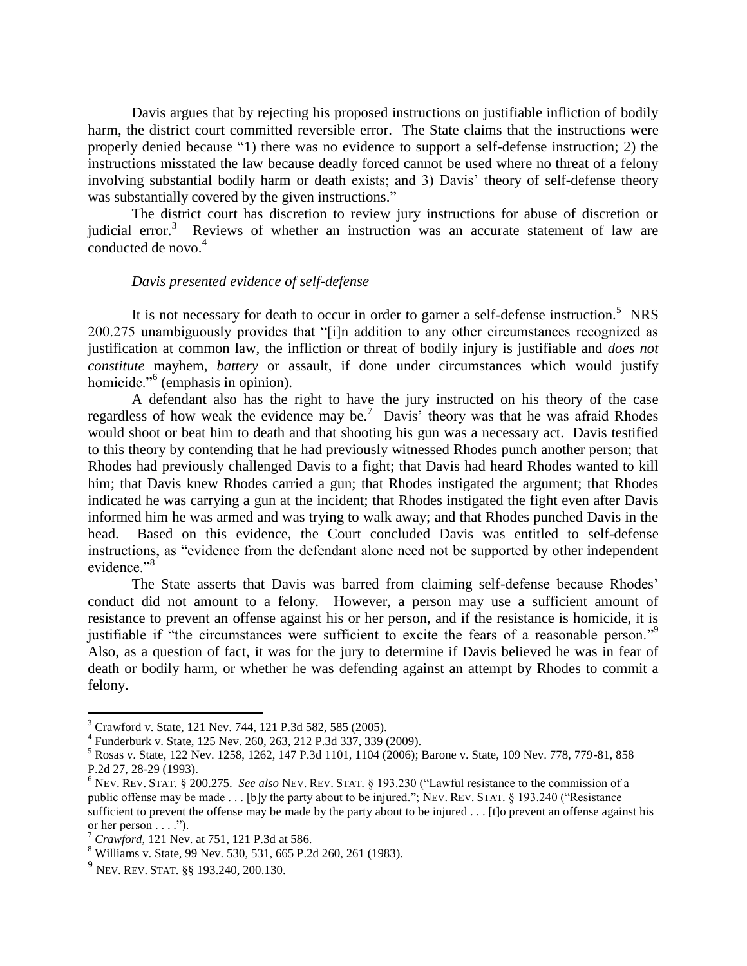Davis argues that by rejecting his proposed instructions on justifiable infliction of bodily harm, the district court committed reversible error. The State claims that the instructions were properly denied because "1) there was no evidence to support a self-defense instruction; 2) the instructions misstated the law because deadly forced cannot be used where no threat of a felony involving substantial bodily harm or death exists; and 3) Davis' theory of self-defense theory was substantially covered by the given instructions."

The district court has discretion to review jury instructions for abuse of discretion or judicial error.<sup>3</sup> Reviews of whether an instruction was an accurate statement of law are conducted de novo.<sup>4</sup>

#### *Davis presented evidence of self-defense*

It is not necessary for death to occur in order to garner a self-defense instruction.<sup>5</sup> NRS 200.275 unambiguously provides that "[i]n addition to any other circumstances recognized as justification at common law, the infliction or threat of bodily injury is justifiable and *does not constitute* mayhem, *battery* or assault, if done under circumstances which would justify homicide."<sup>6</sup> (emphasis in opinion).

A defendant also has the right to have the jury instructed on his theory of the case regardless of how weak the evidence may be.<sup>7</sup> Davis' theory was that he was afraid Rhodes would shoot or beat him to death and that shooting his gun was a necessary act. Davis testified to this theory by contending that he had previously witnessed Rhodes punch another person; that Rhodes had previously challenged Davis to a fight; that Davis had heard Rhodes wanted to kill him; that Davis knew Rhodes carried a gun; that Rhodes instigated the argument; that Rhodes indicated he was carrying a gun at the incident; that Rhodes instigated the fight even after Davis informed him he was armed and was trying to walk away; and that Rhodes punched Davis in the head. Based on this evidence, the Court concluded Davis was entitled to self-defense instructions, as "evidence from the defendant alone need not be supported by other independent evidence."<sup>8</sup>

The State asserts that Davis was barred from claiming self-defense because Rhodes' conduct did not amount to a felony. However, a person may use a sufficient amount of resistance to prevent an offense against his or her person, and if the resistance is homicide, it is justifiable if "the circumstances were sufficient to excite the fears of a reasonable person."<sup>9</sup> Also, as a question of fact, it was for the jury to determine if Davis believed he was in fear of death or bodily harm, or whether he was defending against an attempt by Rhodes to commit a felony.

 $\overline{a}$ 

 $3$  Crawford v. State, 121 Nev. 744, 121 P.3d 582, 585 (2005).

<sup>4</sup> Funderburk v. State, 125 Nev. 260, 263, 212 P.3d 337, 339 (2009).

<sup>5</sup> Rosas v. State, 122 Nev. 1258, 1262, 147 P.3d 1101, 1104 (2006); Barone v. State, 109 Nev. 778, 779-81, 858 P.2d 27, 28-29 (1993).

<sup>6</sup> NEV. REV. STAT. § 200.275. *See also* NEV. REV. STAT. § 193.230 ("Lawful resistance to the commission of a public offense may be made . . . [b]y the party about to be injured."; NEV. REV. STAT. § 193.240 ("Resistance sufficient to prevent the offense may be made by the party about to be injured . . . [t]o prevent an offense against his or her person  $\dots$ .").

<sup>7</sup> *Crawford*, 121 Nev. at 751, 121 P.3d at 586.

<sup>8</sup> Williams v. State, 99 Nev. 530, 531, 665 P.2d 260, 261 (1983).

<sup>&</sup>lt;sup>9</sup> Nev. Rev. Stat. §§ 193.240, 200.130.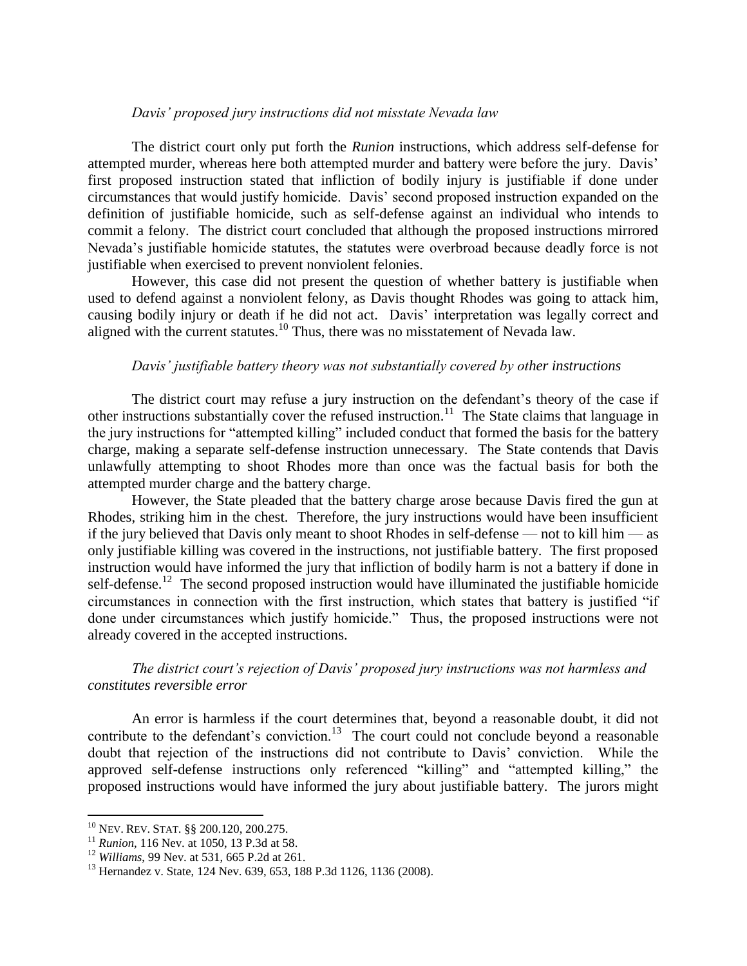#### *Davis' proposed jury instructions did not misstate Nevada law*

The district court only put forth the *Runion* instructions, which address self-defense for attempted murder, whereas here both attempted murder and battery were before the jury. Davis' first proposed instruction stated that infliction of bodily injury is justifiable if done under circumstances that would justify homicide. Davis' second proposed instruction expanded on the definition of justifiable homicide, such as self-defense against an individual who intends to commit a felony. The district court concluded that although the proposed instructions mirrored Nevada's justifiable homicide statutes, the statutes were overbroad because deadly force is not justifiable when exercised to prevent nonviolent felonies.

However, this case did not present the question of whether battery is justifiable when used to defend against a nonviolent felony, as Davis thought Rhodes was going to attack him, causing bodily injury or death if he did not act. Davis' interpretation was legally correct and aligned with the current statutes.<sup>10</sup> Thus, there was no misstatement of Nevada law.

#### *Davis' justifiable battery theory was not substantially covered by other instructions*

The district court may refuse a jury instruction on the defendant's theory of the case if other instructions substantially cover the refused instruction.<sup>11</sup> The State claims that language in the jury instructions for "attempted killing" included conduct that formed the basis for the battery charge, making a separate self-defense instruction unnecessary. The State contends that Davis unlawfully attempting to shoot Rhodes more than once was the factual basis for both the attempted murder charge and the battery charge.

However, the State pleaded that the battery charge arose because Davis fired the gun at Rhodes, striking him in the chest. Therefore, the jury instructions would have been insufficient if the jury believed that Davis only meant to shoot Rhodes in self-defense — not to kill him — as only justifiable killing was covered in the instructions, not justifiable battery. The first proposed instruction would have informed the jury that infliction of bodily harm is not a battery if done in self-defense.<sup>12</sup> The second proposed instruction would have illuminated the justifiable homicide circumstances in connection with the first instruction, which states that battery is justified "if done under circumstances which justify homicide." Thus, the proposed instructions were not already covered in the accepted instructions.

#### *The district court's rejection of Davis' proposed jury instructions was not harmless and constitutes reversible error*

An error is harmless if the court determines that, beyond a reasonable doubt, it did not contribute to the defendant's conviction.<sup>13</sup> The court could not conclude beyond a reasonable doubt that rejection of the instructions did not contribute to Davis' conviction. While the approved self-defense instructions only referenced "killing" and "attempted killing," the proposed instructions would have informed the jury about justifiable battery. The jurors might

 $\overline{a}$ 

<sup>10</sup> NEV. REV. STAT. §§ 200.120, 200.275.

<sup>11</sup> *Runion*, 116 Nev. at 1050, 13 P.3d at 58.

<sup>12</sup> *Williams*, 99 Nev. at 531, 665 P.2d at 261.

<sup>&</sup>lt;sup>13</sup> Hernandez v. State, 124 Nev. 639, 653, 188 P.3d 1126, 1136 (2008).